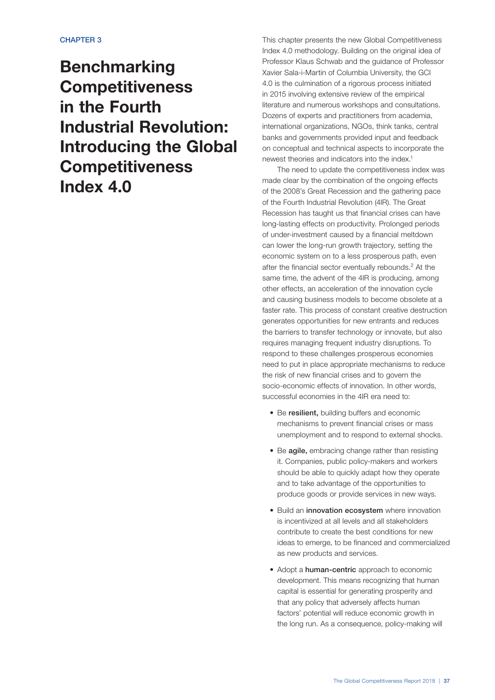# Benchmarking Competitiveness in the Fourth Industrial Revolution: Introducing the Global Competitiveness Index 4.0

This chapter presents the new Global Competitiveness Index 4.0 methodology. Building on the original idea of Professor Klaus Schwab and the guidance of Professor Xavier Sala-i-Martin of Columbia University, the GCI 4.0 is the culmination of a rigorous process initiated in 2015 involving extensive review of the empirical literature and numerous workshops and consultations. Dozens of experts and practitioners from academia, international organizations, NGOs, think tanks, central banks and governments provided input and feedback on conceptual and technical aspects to incorporate the newest theories and indicators into the index.1

The need to update the competitiveness index was made clear by the combination of the ongoing effects of the 2008's Great Recession and the gathering pace of the Fourth Industrial Revolution (4IR). The Great Recession has taught us that financial crises can have long-lasting effects on productivity. Prolonged periods of under-investment caused by a financial meltdown can lower the long-run growth trajectory, setting the economic system on to a less prosperous path, even after the financial sector eventually rebounds.2 At the same time, the advent of the 4IR is producing, among other effects, an acceleration of the innovation cycle and causing business models to become obsolete at a faster rate. This process of constant creative destruction generates opportunities for new entrants and reduces the barriers to transfer technology or innovate, but also requires managing frequent industry disruptions. To respond to these challenges prosperous economies need to put in place appropriate mechanisms to reduce the risk of new financial crises and to govern the socio-economic effects of innovation. In other words, successful economies in the 4IR era need to:

- Be resilient, building buffers and economic mechanisms to prevent financial crises or mass unemployment and to respond to external shocks.
- Be **agile**, embracing change rather than resisting it. Companies, public policy-makers and workers should be able to quickly adapt how they operate and to take advantage of the opportunities to produce goods or provide services in new ways.
- Build an innovation ecosystem where innovation is incentivized at all levels and all stakeholders contribute to create the best conditions for new ideas to emerge, to be financed and commercialized as new products and services.
- Adopt a **human-centric** approach to economic development. This means recognizing that human capital is essential for generating prosperity and that any policy that adversely affects human factors' potential will reduce economic growth in the long run. As a consequence, policy-making will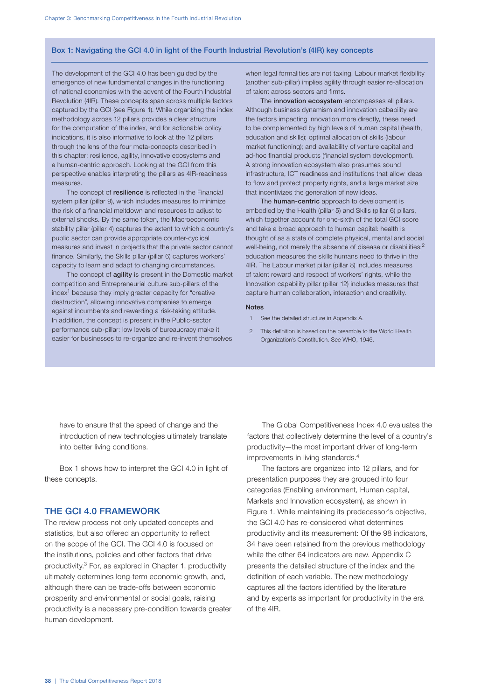# Box 1: Navigating the GCI 4.0 in light of the Fourth Industrial Revolution's (4IR) key concepts

The development of the GCI 4.0 has been guided by the emergence of new fundamental changes in the functioning of national economies with the advent of the Fourth Industrial Revolution (4IR). These concepts span across multiple factors captured by the GCI (see Figure 1). While organizing the index methodology across 12 pillars provides a clear structure for the computation of the index, and for actionable policy indications, it is also informative to look at the 12 pillars through the lens of the four meta-concepts described in this chapter: resilience, agility, innovative ecosystems and a human-centric approach. Looking at the GCI from this perspective enables interpreting the pillars as 4IR-readiness measures.

The concept of resilience is reflected in the Financial system pillar (pillar 9), which includes measures to minimize the risk of a financial meltdown and resources to adjust to external shocks. By the same token, the Macroeconomic stability pillar (pillar 4) captures the extent to which a country's public sector can provide appropriate counter-cyclical measures and invest in projects that the private sector cannot finance. Similarly, the Skills pillar (pillar 6) captures workers' capacity to learn and adapt to changing circumstances.

The concept of **agility** is present in the Domestic market competition and Entrepreneurial culture sub-pillars of the  $index<sup>1</sup>$  because they imply greater capacity for "creative" destruction", allowing innovative companies to emerge against incumbents and rewarding a risk-taking attitude. In addition, the concept is present in the Public-sector performance sub-pillar: low levels of bureaucracy make it easier for businesses to re-organize and re-invent themselves

when legal formalities are not taxing. Labour market flexibility (another sub-pillar) implies agility through easier re-allocation of talent across sectors and firms.

The innovation ecosystem encompasses all pillars. Although business dynamism and innovation cabability are the factors impacting innovation more directly, these need to be complemented by high levels of human capital (health, education and skills); optimal allocation of skills (labour market functioning); and availability of venture capital and ad-hoc financial products (financial system development). A strong innovation ecosystem also presumes sound infrastructure, ICT readiness and institutions that allow ideas to flow and protect property rights, and a large market size that incentivizes the generation of new ideas.

The **human-centric** approach to development is embodied by the Health (pillar 5) and Skills (pillar 6) pillars, which together account for one-sixth of the total GCI score and take a broad approach to human capital: health is thought of as a state of complete physical, mental and social well-being, not merely the absence of disease or disabilities;<sup>2</sup> education measures the skills humans need to thrive in the 4IR. The Labour market pillar (pillar 8) includes measures of talent reward and respect of workers' rights, while the Innovation capability pillar (pillar 12) includes measures that capture human collaboration, interaction and creativity.

#### **Notes**

- 1 See the detailed structure in Appendix A.
- 2 This definition is based on the preamble to the World Health Organization's Constitution. See WHO, 1946.

have to ensure that the speed of change and the introduction of new technologies ultimately translate into better living conditions.

Box 1 shows how to interpret the GCI 4.0 in light of these concepts.

# THE GCI 4.0 FRAMEWORK

The review process not only updated concepts and statistics, but also offered an opportunity to reflect on the scope of the GCI. The GCI 4.0 is focused on the institutions, policies and other factors that drive productivity.3 For, as explored in Chapter 1, productivity ultimately determines long-term economic growth, and, although there can be trade-offs between economic prosperity and environmental or social goals, raising productivity is a necessary pre-condition towards greater human development.

The Global Competitiveness Index 4.0 evaluates the factors that collectively determine the level of a country's productivity—the most important driver of long-term improvements in living standards.4

The factors are organized into 12 pillars, and for presentation purposes they are grouped into four categories (Enabling environment, Human capital, Markets and Innovation ecosystem), as shown in Figure 1. While maintaining its predecessor's objective, the GCI 4.0 has re-considered what determines productivity and its measurement: Of the 98 indicators, 34 have been retained from the previous methodology while the other 64 indicators are new. Appendix C presents the detailed structure of the index and the definition of each variable. The new methodology captures all the factors identified by the literature and by experts as important for productivity in the era of the 4IR.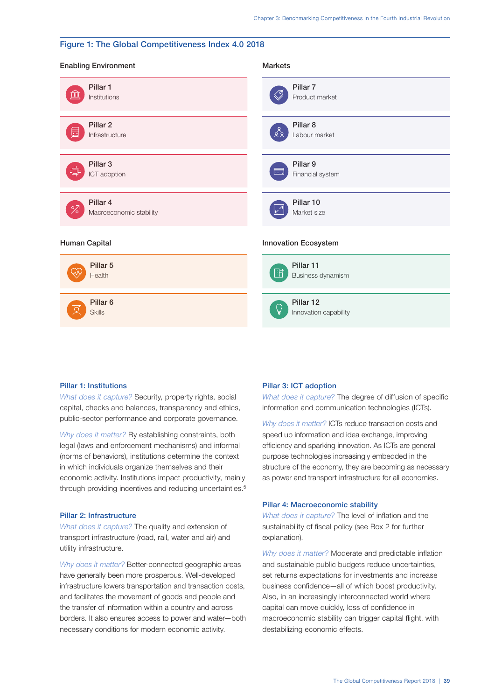# Figure 1: The Global Competitiveness Index 4.0 2018

| <b>Enabling Environment</b>          | <b>Markets</b>                           |
|--------------------------------------|------------------------------------------|
| Pillar 1                             | Pillar 7                                 |
| Ш                                    | Ø,                                       |
| Institutions                         | Product market                           |
| Pillar <sub>2</sub>                  | Pillar <sub>8</sub>                      |
| 듮                                    | $\frac{6}{2}$                            |
| Infrastructure                       | Labour market                            |
| Pillar <sub>3</sub>                  | Pillar 9                                 |
| 业                                    | E.                                       |
| ICT adoption                         | Financial system                         |
| Pillar 4                             | Pillar 10                                |
| $\overline{\mathscr{C}}$             | $\sqrt{2}$                               |
| Macroeconomic stability              | Market size                              |
| Human Capital                        | Innovation Ecosystem                     |
| Pillar 5<br>Health                   | Pillar 11<br>$\Box$<br>Business dynamism |
| Pillar <sub>6</sub><br><b>Skills</b> | Pillar 12<br>Q<br>Innovation capability  |

#### Pillar 1: Institutions

*What does it capture?* Security, property rights, social capital, checks and balances, transparency and ethics, public-sector performance and corporate governance.

*Why does it matter?* By establishing constraints, both legal (laws and enforcement mechanisms) and informal (norms of behaviors), institutions determine the context in which individuals organize themselves and their economic activity. Institutions impact productivity, mainly through providing incentives and reducing uncertainties.<sup>5</sup>

# Pillar 2: Infrastructure

*What does it capture?* The quality and extension of transport infrastructure (road, rail, water and air) and utility infrastructure.

*Why does it matter?* Better-connected geographic areas have generally been more prosperous. Well-developed infrastructure lowers transportation and transaction costs, and facilitates the movement of goods and people and the transfer of information within a country and across borders. It also ensures access to power and water—both necessary conditions for modern economic activity.

#### Pillar 3: ICT adoption

*What does it capture?* The degree of diffusion of specific information and communication technologies (ICTs).

*Why does it matter?* ICTs reduce transaction costs and speed up information and idea exchange, improving efficiency and sparking innovation. As ICTs are general purpose technologies increasingly embedded in the structure of the economy, they are becoming as necessary as power and transport infrastructure for all economies.

# Pillar 4: Macroeconomic stability

*What does it capture?* The level of inflation and the sustainability of fiscal policy (see Box 2 for further explanation).

*Why does it matter?* Moderate and predictable inflation and sustainable public budgets reduce uncertainties, set returns expectations for investments and increase business confidence—all of which boost productivity. Also, in an increasingly interconnected world where capital can move quickly, loss of confidence in macroeconomic stability can trigger capital flight, with destabilizing economic effects.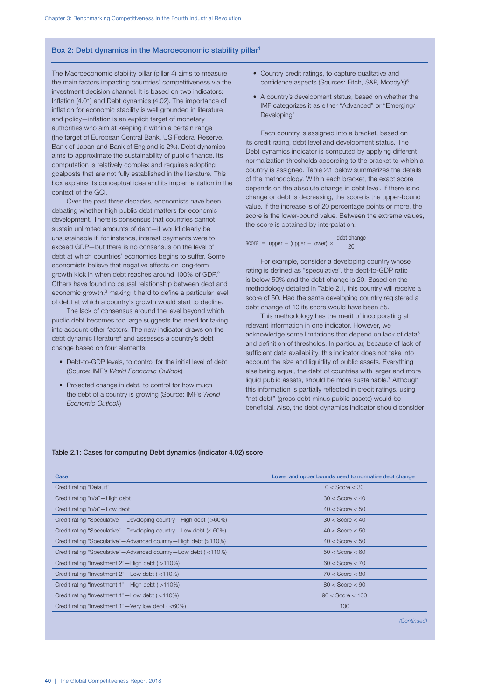#### Box 2: Debt dynamics in the Macroeconomic stability pillar<sup>1</sup>

The Macroeconomic stability pillar (pillar 4) aims to measure the main factors impacting countries' competitiveness via the investment decision channel. It is based on two indicators: Inflation (4.01) and Debt dynamics (4.02). The importance of inflation for economic stability is well grounded in literature and policy—inflation is an explicit target of monetary authorities who aim at keeping it within a certain range (the target of European Central Bank, US Federal Reserve, Bank of Japan and Bank of England is 2%). Debt dynamics aims to approximate the sustainability of public finance. Its computation is relatively complex and requires adopting goalposts that are not fully established in the literature. This box explains its conceptual idea and its implementation in the context of the GCI.

Over the past three decades, economists have been debating whether high public debt matters for economic development. There is consensus that countries cannot sustain unlimited amounts of debt—it would clearly be unsustainable if, for instance, interest payments were to exceed GDP—but there is no consensus on the level of debt at which countries' economies begins to suffer. Some economists believe that negative effects on long-term growth kick in when debt reaches around 100% of GDP.2 Others have found no causal relationship between debt and economic growth,<sup>3</sup> making it hard to define a particular level of debt at which a country's growth would start to decline.

The lack of consensus around the level beyond which public debt becomes too large suggests the need for taking into account other factors. The new indicator draws on the debt dynamic literature<sup>4</sup> and assesses a country's debt change based on four elements:

- Debt-to-GDP levels, to control for the initial level of debt (Source: IMF's *World Economic Outlook*)
- Projected change in debt, to control for how much the debt of a country is growing (Source: IMF's *World Economic Outlook*)
- Country credit ratings, to capture qualitative and confidence aspects (Sources: Fitch, S&P, Moody's)<sup>5</sup>
- A country's development status, based on whether the IMF categorizes it as either "Advanced" or "Emerging/ Developing"

Each country is assigned into a bracket, based on its credit rating, debt level and development status. The Debt dynamics indicator is computed by applying different normalization thresholds according to the bracket to which a country is assigned. Table 2.1 below summarizes the details of the methodology. Within each bracket, the exact score depends on the absolute change in debt level. If there is no change or debt is decreasing, the score is the upper-bound value. If the increase is of 20 percentage points or more, the score is the lower-bound value. Between the extreme values, the score is obtained by interpolation:

score = upper – (upper – lower) 
$$
\times \frac{\text{debt change}}{20}
$$

For example, consider a developing country whose rating is defined as "speculative", the debt-to-GDP ratio is below 50% and the debt change is 20. Based on the methodology detailed in Table 2.1, this country will receive a score of 50. Had the same developing country registered a debt change of 10 its score would have been 55.

This methodology has the merit of incorporating all relevant information in one indicator. However, we acknowledge some limitations that depend on lack of data<sup>6</sup> and definition of thresholds. In particular, because of lack of sufficient data availability, this indicator does not take into account the size and liquidity of public assets. Everything else being equal, the debt of countries with larger and more liquid public assets, should be more sustainable.<sup>7</sup> Although this information is partially reflected in credit ratings, using "net debt" (gross debt minus public assets) would be beneficial. Also, the debt dynamics indicator should consider

#### Table 2.1: Cases for computing Debt dynamics (indicator 4.02) score

| Case                                                                      | Lower and upper bounds used to normalize debt change |
|---------------------------------------------------------------------------|------------------------------------------------------|
| Credit rating "Default"                                                   | $0 <$ Score $<$ 30                                   |
| Credit rating "n/a"-High debt                                             | $30 <$ Score $< 40$                                  |
| Credit rating "n/a"-Low debt                                              | $40 <$ Score $< 50$                                  |
| Credit rating "Speculative" - Developing country - High debt (>60%)       | $30 <$ Score $< 40$                                  |
| Credit rating "Speculative" - Developing country - Low debt (< 60%)       | $40 <$ Score $< 50$                                  |
| Credit rating "Speculative"—Advanced country—High debt (>110%)            | $40 <$ Score $< 50$                                  |
| Credit rating "Speculative" - Advanced country - Low debt (<110%)         | $50 <$ Score $< 60$                                  |
| Credit rating "Investment 2"—High debt (>110%)                            | $60 <$ Score $<$ 70                                  |
| Credit rating "Investment 2"-Low debt (<110%)                             | $70 <$ Score $<$ 80                                  |
| Credit rating "Investment 1"-High debt (>110%)                            | $80 <$ Score $< 90$                                  |
| Credit rating "Investment 1"-Low debt (<110%)                             | $90 <$ Score $< 100$                                 |
| Credit rating "Investment $1"$ – Very low debt ( $\langle 60\% \rangle$ ) | 100                                                  |
|                                                                           |                                                      |

*(Continued)*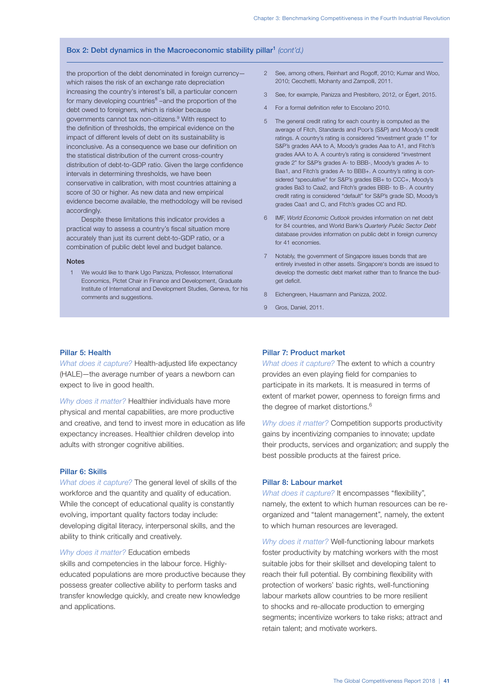# Box 2: Debt dynamics in the Macroeconomic stability pillar1 *(cont'd.)*

the proportion of the debt denominated in foreign currency which raises the risk of an exchange rate depreciation increasing the country's interest's bill, a particular concern for many developing countries<sup>8</sup> –and the proportion of the debt owed to foreigners, which is riskier because governments cannot tax non-citizens.<sup>9</sup> With respect to the definition of thresholds, the empirical evidence on the impact of different levels of debt on its sustainability is inconclusive. As a consequence we base our definition on the statistical distribution of the current cross-country distribution of debt-to-GDP ratio. Given the large confidence intervals in determining thresholds, we have been conservative in calibration, with most countries attaining a score of 30 or higher. As new data and new empirical evidence become available, the methodology will be revised accordingly.

Despite these limitations this indicator provides a practical way to assess a country's fiscal situation more accurately than just its current debt-to-GDP ratio, or a combination of public debt level and budget balance.

#### Notes

1 We would like to thank Ugo Panizza, Professor, International Economics, Pictet Chair in Finance and Development, Graduate Institute of International and Development Studies, Geneva, for his comments and suggestions.

- 2 See, among others, Reinhart and Rogoff, 2010; Kumar and Woo, 2010; Cecchetti, Mohanty and Zampolli, 2011.
- 3 See, for example, Panizza and Presbitero, 2012, or Égert, 2015.
- 4 For a formal definition refer to Escolano 2010.
- 5 The general credit rating for each country is computed as the average of Fitch, Standards and Poor's (S&P) and Moody's credit ratings. A country's rating is considered "investment grade 1" for S&P's grades AAA to A, Moody's grades Aaa to A1, and Fitch's grades AAA to A. A country's rating is considered "investment grade 2" for S&P's grades A- to BBB-, Moody's grades A- to Baa1, and Fitch's grades A- to BBB+. A country's rating is considered "speculative" for S&P's grades BB+ to CCC+, Moody's grades Ba3 to Caa2, and Fitch's grades BBB- to B-. A country credit rating is considered "default" for S&P's grade SD, Moody's grades Caa1 and C, and Fitch's grades CC and RD.
- 6 IMF, *World Economic Outlook* provides information on net debt for 84 countries, and World Bank's *Quarterly Public Sector Debt* database provides information on public debt in foreign currency for 41 economies.
- 7 Notably, the government of Singapore issues bonds that are entirely invested in other assets. Singapore's bonds are issued to develop the domestic debt market rather than to finance the budget deficit.
- 8 Eichengreen, Hausmann and Panizza, 2002.
- 9 Gros, Daniel, 2011.

#### Pillar 5: Health

*What does it capture?* Health-adjusted life expectancy (HALE)—the average number of years a newborn can expect to live in good health.

*Why does it matter?* Healthier individuals have more physical and mental capabilities, are more productive and creative, and tend to invest more in education as life expectancy increases. Healthier children develop into adults with stronger cognitive abilities.

#### Pillar 6: Skills

*What does it capture?* The general level of skills of the workforce and the quantity and quality of education. While the concept of educational quality is constantly evolving, important quality factors today include: developing digital literacy, interpersonal skills, and the ability to think critically and creatively.

*Why does it matter?* Education embeds

skills and competencies in the labour force. Highlyeducated populations are more productive because they possess greater collective ability to perform tasks and transfer knowledge quickly, and create new knowledge and applications.

#### Pillar 7: Product market

*What does it capture?* The extent to which a country provides an even playing field for companies to participate in its markets. It is measured in terms of extent of market power, openness to foreign firms and the degree of market distortions.<sup>6</sup>

*Why does it matter?* Competition supports productivity gains by incentivizing companies to innovate; update their products, services and organization; and supply the best possible products at the fairest price.

#### Pillar 8: Labour market

*What does it capture?* It encompasses "flexibility", namely, the extent to which human resources can be reorganized and "talent management", namely, the extent to which human resources are leveraged.

*Why does it matter?* Well-functioning labour markets foster productivity by matching workers with the most suitable jobs for their skillset and developing talent to reach their full potential. By combining flexibility with protection of workers' basic rights, well-functioning labour markets allow countries to be more resilient to shocks and re-allocate production to emerging segments; incentivize workers to take risks; attract and retain talent; and motivate workers.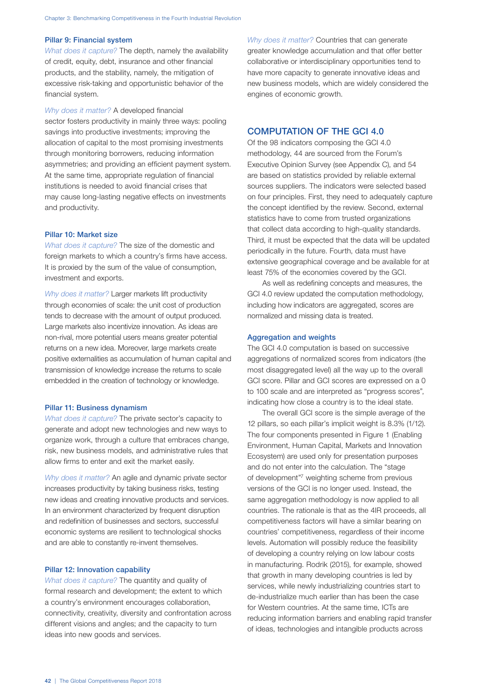# Pillar 9: Financial system

*What does it capture?* The depth, namely the availability of credit, equity, debt, insurance and other financial products, and the stability, namely, the mitigation of excessive risk-taking and opportunistic behavior of the financial system.

#### *Why does it matter?* A developed financial

sector fosters productivity in mainly three ways: pooling savings into productive investments; improving the allocation of capital to the most promising investments through monitoring borrowers, reducing information asymmetries; and providing an efficient payment system. At the same time, appropriate regulation of financial institutions is needed to avoid financial crises that may cause long-lasting negative effects on investments and productivity.

# Pillar 10: Market size

*What does it capture?* The size of the domestic and foreign markets to which a country's firms have access. It is proxied by the sum of the value of consumption, investment and exports.

*Why does it matter?* Larger markets lift productivity through economies of scale: the unit cost of production tends to decrease with the amount of output produced. Large markets also incentivize innovation. As ideas are non-rival, more potential users means greater potential returns on a new idea. Moreover, large markets create positive externalities as accumulation of human capital and transmission of knowledge increase the returns to scale embedded in the creation of technology or knowledge.

#### Pillar 11: Business dynamism

*What does it capture?* The private sector's capacity to generate and adopt new technologies and new ways to organize work, through a culture that embraces change, risk, new business models, and administrative rules that allow firms to enter and exit the market easily.

*Why does it matter?* An agile and dynamic private sector increases productivity by taking business risks, testing new ideas and creating innovative products and services. In an environment characterized by frequent disruption and redefinition of businesses and sectors, successful economic systems are resilient to technological shocks and are able to constantly re-invent themselves.

# Pillar 12: Innovation capability

*What does it capture?* The quantity and quality of formal research and development; the extent to which a country's environment encourages collaboration, connectivity, creativity, diversity and confrontation across different visions and angles; and the capacity to turn ideas into new goods and services.

*Why does it matter?* Countries that can generate greater knowledge accumulation and that offer better collaborative or interdisciplinary opportunities tend to have more capacity to generate innovative ideas and new business models, which are widely considered the engines of economic growth.

# COMPUTATION OF THE GCI 4.0

Of the 98 indicators composing the GCI 4.0 methodology, 44 are sourced from the Forum's Executive Opinion Survey (see Appendix C), and 54 are based on statistics provided by reliable external sources suppliers. The indicators were selected based on four principles. First, they need to adequately capture the concept identified by the review. Second, external statistics have to come from trusted organizations that collect data according to high-quality standards. Third, it must be expected that the data will be updated periodically in the future. Fourth, data must have extensive geographical coverage and be available for at least 75% of the economies covered by the GCI.

As well as redefining concepts and measures, the GCI 4.0 review updated the computation methodology, including how indicators are aggregated, scores are normalized and missing data is treated.

#### Aggregation and weights

The GCI 4.0 computation is based on successive aggregations of normalized scores from indicators (the most disaggregated level) all the way up to the overall GCI score. Pillar and GCI scores are expressed on a 0 to 100 scale and are interpreted as "progress scores", indicating how close a country is to the ideal state.

The overall GCI score is the simple average of the 12 pillars, so each pillar's implicit weight is 8.3% (1/12). The four components presented in Figure 1 (Enabling Environment, Human Capital, Markets and Innovation Ecosystem) are used only for presentation purposes and do not enter into the calculation. The "stage of development"7 weighting scheme from previous versions of the GCI is no longer used. Instead, the same aggregation methodology is now applied to all countries. The rationale is that as the 4IR proceeds, all competitiveness factors will have a similar bearing on countries' competitiveness, regardless of their income levels. Automation will possibly reduce the feasibility of developing a country relying on low labour costs in manufacturing. Rodrik (2015), for example, showed that growth in many developing countries is led by services, while newly industrializing countries start to de-industrialize much earlier than has been the case for Western countries. At the same time, ICTs are reducing information barriers and enabling rapid transfer of ideas, technologies and intangible products across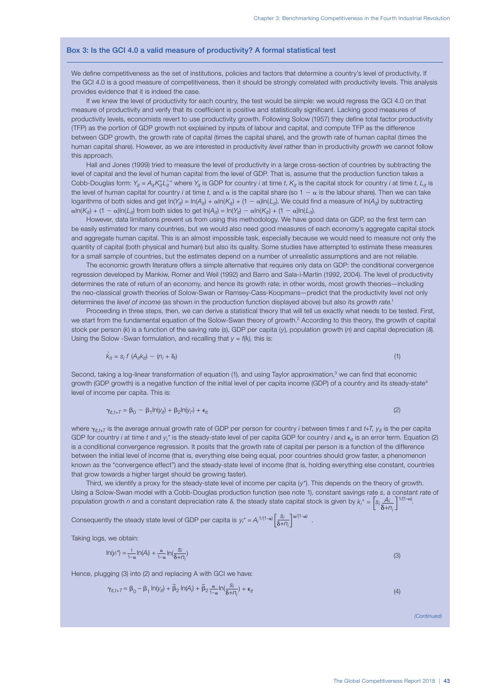#### Box 3: Is the GCI 4.0 a valid measure of productivity? A formal statistical test

We define competitiveness as the set of institutions, policies and factors that determine a country's level of productivity. If the GCI 4.0 is a good measure of competitiveness, then it should be strongly correlated with productivity levels. This analysis provides evidence that it is indeed the case.

If we knew the level of productivity for each country, the test would be simple: we would regress the GCI 4.0 on that measure of productivity and verify that its coefficient is positive and statistically significant. Lacking good measures of productivity levels, economists revert to use productivity growth. Following Solow (1957) they define total factor productivity (TFP) as the portion of GDP growth not explained by inputs of labour and capital, and compute TFP as the difference between GDP growth, the growth rate of capital (times the capital share), and the growth rate of human capital (times the human capital share). However, as we are interested in productivity *level* rather than in productivity *growth* we cannot follow this approach.

Hall and Jones (1999) tried to measure the level of productivity in a large cross-section of countries by subtracting the level of capital and the level of human capital from the level of GDP. That is, assume that the production function takes a Cobb-Douglas form:  $Y_{it} = A_{it} K_{it}^* L_{it}^{T-\alpha}$  where  $Y_{it}$  is GDP for country *i* at time *t*,  $K_{it}$  is the capital stock for country *i* at time *t*,  $L_{it}$  is the level of human capital for country *i* at time *t*, and  $\alpha$  is the capital share (so  $1 - \alpha$  is the labour share). Then we can take logarithms of both sides and get  $ln(Y_{it}) = ln(A_{it}) + \alpha ln(K_{it}) + (1 - \alpha) ln(L_{it})$ . We could find a measure of ln(A<sub>it</sub>) by subtracting  $\alpha$ ln( $K_{it}$ ) + (1 –  $\alpha$ )ln( $L_{it}$ ) from both sides to get ln( $A_{it}$ ) = ln( $Y_{it}$ ) –  $\alpha$ ln( $K_{it}$ ) + (1 –  $\alpha$ )ln( $L_{it}$ ).

However, data limitations prevent us from using this methodology. We have good data on GDP, so the first term can be easily estimated for many countries, but we would also need good measures of each economy's aggregate capital stock and aggregate human capital. This is an almost impossible task, especially because we would need to measure not only the quantity of capital (both physical and human) but also its quality. Some studies have attempted to estimate these measures for a small sample of countries, but the estimates depend on a number of unrealistic assumptions and are not reliable.

The economic growth literature offers a simple alternative that requires only data on GDP: the conditional convergence regression developed by Mankiw, Romer and Weil (1992) and Barro and Sala-i-Martin (1992, 2004). The level of productivity determines the rate of return of an economy, and hence its growth rate; in other words, most growth theories—including the neo-classical growth theories of Solow-Swan or Ramsey-Cass-Koopmans—predict that the productivity level not only determines the *level of income* (as shown in the production function displayed above) but also its *growth rate*. 1

Proceeding in three steps, then, we can derive a statistical theory that will tell us exactly what needs to be tested. First, we start from the fundamental equation of the Solow-Swan theory of growth.<sup>2</sup> According to this theory, the growth of capital stock per person (k) is a function of the saving rate (s), GDP per capita (y), population growth (n) and capital depreciation ( $\delta$ ). Using the Solow -Swan formulation, and recalling that *y = f(k),* this is:

$$
\dot{K}_{it} = S_i f \left( A_{it} K_{it} \right) - \left( n_i + \delta_i \right) \tag{1}
$$

Second, taking a log-linear transformation of equation (1), and using Taylor approximation,<sup>3</sup> we can find that economic growth (GDP growth) is a negative function of the initial level of per capita income (GDP) of a country and its steady-state<sup>4</sup> level of income per capita. This is:

$$
\gamma_{it,t+T} = \beta_0 - \beta_1 \ln(y_{it}) + \beta_2 \ln(y_{it}) + \epsilon_{it} \tag{2}
$$

where  $\gamma_{it+t}$  is the average annual growth rate of GDP per person for country *i* between times *t* and  $t$ +T,  $\gamma_{it}$  is the per capita GDP for country *i* at time t and  $y_i^*$  is the steady-state level of per capita GDP for country *i* and  $\epsilon_{it}$  is an error term. Equation (2) is a conditional convergence regression. It posits that the growth rate of capital per person is a function of the difference between the initial level of income (that is, everything else being equal, poor countries should grow faster, a phenomenon known as the "convergence effect") and the steady-state level of income (that is, holding everything else constant, countries that grow towards a higher target should be growing faster).

Third, we identify a proxy for the steady-state level of income per capita (*y\**). This depends on the theory of growth. Using a Solow-Swan model with a Cobb-Douglas production function (see note 1), constant savings rate *s*, a constant rate of population growth *n* and a constant depreciation rate  $\delta$ , the steady state capital stock is given by  $k_i^* = \left[s_i \frac{Ai}{\delta + n_i}\right]$  $1/(1-\alpha)$ <sup>.</sup>

Consequently the steady state level of GDP per capita is  $y_i^* = A_i^{1/(1-\alpha)} \left[ \frac{S_i}{\delta + n_i} \right]^{\alpha/(1-\alpha)}$ .

Taking logs, we obtain:

$$
\ln(y_i^*) = \frac{1}{1-\alpha} \ln(A_i) + \frac{\alpha}{1-\alpha} \ln(\frac{S_i}{\delta + \eta_i})
$$
\n(3)

Hence, plugging (3) into (2) and replacing A with GCI we have:

$$
\gamma_{it,t+T} = \beta_0 - \beta_1 \ln(y_{it}) + \tilde{\beta}_2 \ln(A_i) + \tilde{\beta}_2 \frac{\alpha}{1-\alpha} \ln(\frac{S_i}{\delta + n_i}) + \epsilon_{it}
$$
\n(4)

*(Continued)*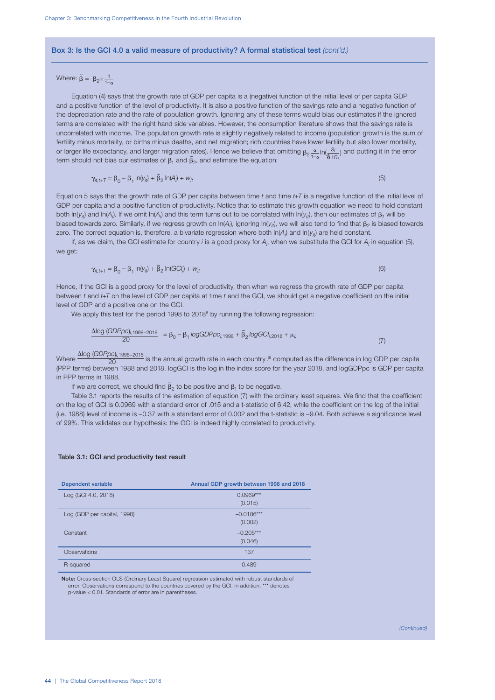#### Box 3: Is the GCI 4.0 a valid measure of productivity? A formal statistical test *(cont'd.)*

# Where:  $\widetilde{\beta} = \beta_2 \times \frac{1}{1-\alpha}$

Equation (4) says that the growth rate of GDP per capita is a (negative) function of the initial level of per capita GDP and a positive function of the level of productivity. It is also a positive function of the savings rate and a negative function of the depreciation rate and the rate of population growth. Ignoring any of these terms would bias our estimates if the ignored terms are correlated with the right hand side variables. However, the consumption literature shows that the savings rate is uncorrelated with income. The population growth rate is slightly negatively related to income (population growth is the sum of fertility minus mortality, or births minus deaths, and net migration; rich countries have lower fertility but also lower mortality, or larger life expectancy, and larger migration rates). Hence we believe that omitting  $\beta_2 \frac{\alpha}{1-\alpha} \ln(\frac{S_1}{S_2})$ rates). Hence we believe that omitting  $\beta_2 \frac{\alpha}{1-\alpha} \ln(\frac{S_i}{\delta + \eta_i})$  and putting it in the error  $\tilde{B}_n$  and estimate the equation: term should not bias our estimates of  $\beta_1$  and  $\beta_2$ , and estimate the equation:

$$
\gamma_{it,t+T} = \beta_0 - \beta_1 \ln(y_{it}) + \widetilde{\beta}_2 \ln(A_i) + w_{it}
$$
\n(5)

Equation 5 says that the growth rate of GDP per capita between time *t* and time *t*+T is a negative function of the initial level of GDP per capita and a positive function of productivity. Notice that to estimate this growth equation we need to hold constant both ln( $y_{it}$ ) and ln(A<sub>i</sub>). If we omit ln(A<sub>i</sub>) and this term turns out to be correlated with ln( $y_{it}$ ), then our estimates of  $\beta_1$  will be biased towards zero. Similarly, if we regress growth on In(A<sub>i</sub>), ignoring In(y<sub>it</sub>), we will also tend to find that  $\beta_2$  is biased towards zero. The correct equation is, therefore, a bivariate regression where both ln(A<sub>i</sub>) and ln( $y_{i\bar{t}}$ ) are held constant.

If, as we claim, the GCI estimate for country *i* is a good proxy for *Ai* , when we substitute the GCI for *Ai* in equation (5), we get:

$$
\gamma_{it,t+T} = \beta_0 - \beta_1 \ln(y_{it}) + \widetilde{\beta}_2 \ln(GCl_i) + w_{it}
$$
\n(6)

Hence, if the GCI is a good proxy for the level of productivity, then when we regress the growth rate of GDP per capita between *t* and *t+T* on the level of GDP per capita at time *t* and the GCI, we should get a negative coefficient on the initial level of GDP and a positive one on the GCI.

We apply this test for the period 1998 to 2018<sup>5</sup> by running the following regression:

$$
\frac{\Delta \log (GDPpc)_{i,1998-2018}}{20} = \beta_0 - \beta_1 \log GDPpc_{i,1998} + \tilde{\beta}_2 \log GCl_{i,2018} + \mu_{i,}
$$
\n(7)

Where  $\frac{\Delta$ log (*GDPpc*)<sub>i,1998–2018</sub> is the annual growth rate in each country *i*<sup>c</sup> computed as the difference in log GDP per capita (PPP terms) between 1988 and 2018, logGCI is the log in the index score for the year 2018, and logGDPpc is GDP per capita in PPP terms in 1988.

If we are correct, we should find  $\tilde{\beta}_2$  to be positive and  $\beta_1$  to be negative.

Table 3.1 reports the results of the estimation of equation (7) with the ordinary least squares. We find that the coefficient on the log of GCI is 0.0969 with a standard error of .015 and a t-statistic of 6.42, while the coefficient on the log of the initial (i.e. 1988) level of income is –0.37 with a standard error of 0.002 and the t-statistic is –9.04. Both achieve a significance level of 99%. This validates our hypothesis: the GCI is indeed highly correlated to productivity.

#### Table 3.1: GCI and productivity test result

| <b>Dependent variable</b>   | Annual GDP growth between 1998 and 2018 |
|-----------------------------|-----------------------------------------|
| Log (GCI 4.0, 2018)         | $0.0969***$                             |
|                             | (0.015)                                 |
| Log (GDP per capital, 1998) | $-0.0186***$                            |
|                             | (0.002)                                 |
| Constant                    | $-0.205***$                             |
|                             | (0.046)                                 |
| <b>Observations</b>         | 137                                     |
| R-squared                   | 0.489                                   |

Note: Cross-section OLS (Ordinary Least Square) regression estimated with robust standards of error. Observations correspond to the countries covered by the GCI. In addition, \*\*\* denotes p-value < 0.01. Standards of error are in parentheses.

*(Continued)*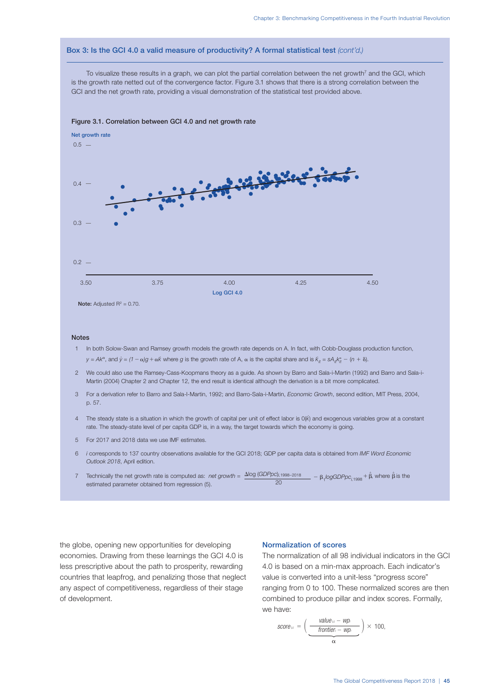# Box 3: Is the GCI 4.0 a valid measure of productivity? A formal statistical test *(cont'd.)*

To visualize these results in a graph, we can plot the partial correlation between the net growth<sup>7</sup> and the GCI, which is the growth rate netted out of the convergence factor. Figure 3.1 shows that there is a strong correlation between the GCI and the net growth rate, providing a visual demonstration of the statistical test provided above.



#### Figure 3.1. Correlation between GCI 4.0 and net growth rate

#### Notes

- 1 In both Solow-Swan and Ramsey growth models the growth rate depends on A. In fact, with Cobb-Douglass production function,  $y = Ak^{\alpha}$ , and  $\dot{y} = (1 - \alpha)g + \alpha \dot{k}$  where g is the growth rate of A,  $\alpha$  is the capital share and is  $k_{it} = sA_{it}k_{it}^{\alpha} - (n + \delta)$ .
- 2 We could also use the Ramsey-Cass-Koopmans theory as a guide. As shown by Barro and Sala-i-Martin (1992) and Barro and Sala-i-Martin (2004) Chapter 2 and Chapter 12, the end result is identical although the derivation is a bit more complicated.
- 3 For a derivation refer to Barro and Sala-I-Martin, 1992; and Barro-Sala-i-Martin, *Economic Growth*, second edition, MIT Press, 2004, p. 57.
- 4 The steady state is a situation in which the growth of capital per unit of effect labor is 0(*k ·* ) and exogenous variables grow at a constant rate. The steady-state level of per capita GDP is, in a way, the target towards which the economy is going.
- 5 For 2017 and 2018 data we use IMF estimates.
- 6 *i* corresponds to 137 country observations available for the GCI 2018; GDP per capita data is obtained from *IMF Word Economic Outlook 2018*, April edition.
- Technically the net growth rate is computed as: net growth =  $\frac{\Delta \log (GDPpc)_{i,1998}-2018}{20} \beta_1 logGDPpc_{i,1998} + \hat{\beta}$ , where  $\hat{\beta}$  is the  $20$ estimated parameter obtained from regression (5).

the globe, opening new opportunities for developing economies. Drawing from these learnings the GCI 4.0 is less prescriptive about the path to prosperity, rewarding countries that leapfrog, and penalizing those that neglect any aspect of competitiveness, regardless of their stage of development.

#### Normalization of scores

The normalization of all 98 individual indicators in the GCI 4.0 is based on a min-max approach. Each indicator's value is converted into a unit-less "progress score" ranging from 0 to 100. These normalized scores are then combined to produce pillar and index scores. Formally, we have:

$$
score_{1c} = \left(\frac{value_{1c} - wp_i}{frontier_i - wp_i}\right) \times 100,
$$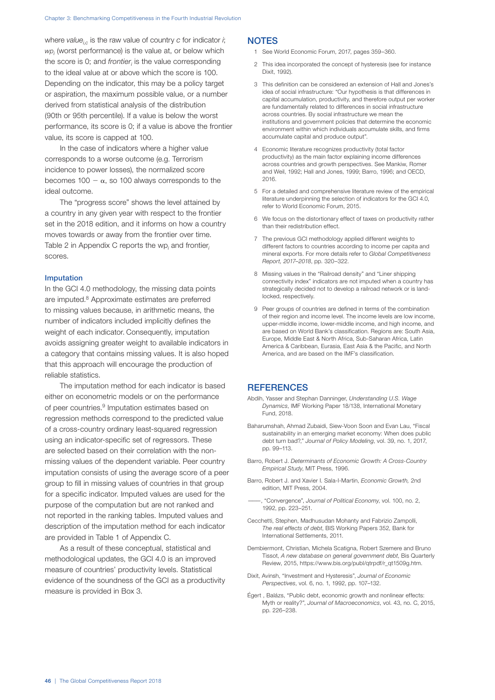where *value*<sub>ic</sub> is the raw value of country *c* for indicator *i*; *wpi* (worst performance) is the value at, or below which the score is 0; and *frontier<sub>i</sub>* is the value corresponding to the ideal value at or above which the score is 100. Depending on the indicator, this may be a policy target or aspiration, the maximum possible value, or a number derived from statistical analysis of the distribution (90th or 95th percentile). If a value is below the worst performance, its score is 0; if a value is above the frontier value, its score is capped at 100.

In the case of indicators where a higher value corresponds to a worse outcome (e.g. Terrorism incidence to power losses), the normalized score becomes 100  $\alpha$ , so 100 always corresponds to the ideal outcome.

The "progress score" shows the level attained by a country in any given year with respect to the frontier set in the 2018 edition, and it informs on how a country moves towards or away from the frontier over time. Table 2 in Appendix C reports the wp*<sup>i</sup>* and frontier*<sup>i</sup>* scores.

#### Imputation

In the GCI 4.0 methodology, the missing data points are imputed.8 Approximate estimates are preferred to missing values because, in arithmetic means, the number of indicators included implicitly defines the weight of each indicator. Consequently, imputation avoids assigning greater weight to available indicators in a category that contains missing values. It is also hoped that this approach will encourage the production of reliable statistics.

The imputation method for each indicator is based either on econometric models or on the performance of peer countries.<sup>9</sup> Imputation estimates based on regression methods correspond to the predicted value of a cross-country ordinary least-squared regression using an indicator-specific set of regressors. These are selected based on their correlation with the nonmissing values of the dependent variable. Peer country imputation consists of using the average score of a peer group to fill in missing values of countries in that group for a specific indicator. Imputed values are used for the purpose of the computation but are not ranked and not reported in the ranking tables. Imputed values and description of the imputation method for each indicator are provided in Table 1 of Appendix C.

As a result of these conceptual, statistical and methodological updates, the GCI 4.0 is an improved measure of countries' productivity levels. Statistical evidence of the soundness of the GCI as a productivity measure is provided in Box 3.

# **NOTES**

- 1 See World Economic Forum, 2017, pages 359–360.
- 2 This idea incorporated the concept of hysteresis (see for instance Dixit, 1992).
- 3 This definition can be considered an extension of Hall and Jones's idea of social infrastructure: "Our hypothesis is that differences in capital accumulation, productivity, and therefore output per worker are fundamentally related to differences in social infrastructure across countries. By social infrastructure we mean the institutions and government policies that determine the economic environment within which individuals accumulate skills, and firms accumulate capital and produce output".
- 4 Economic literature recognizes productivity (total factor productivity) as the main factor explaining income differences across countries and growth perspectives. See Mankiw, Romer and Weil, 1992; Hall and Jones, 1999; Barro, 1996; and OECD, 2016.
- 5 For a detailed and comprehensive literature review of the empirical literature underpinning the selection of indicators for the GCI 4.0, refer to World Economic Forum, 2015.
- 6 We focus on the distortionary effect of taxes on productivity rather than their redistribution effect.
- 7 The previous GCI methodology applied different weights to different factors to countries according to income per capita and mineral exports. For more details refer to *Global Competitiveness Report, 2017–2018*, pp. 320–322.
- 8 Missing values in the "Railroad density" and "Liner shipping connectivity index" indicators are not imputed when a country has strategically decided not to develop a railroad network or is landlocked, respectively.
- 9 Peer groups of countries are defined in terms of the combination of their region and income level. The income levels are low income, upper-middle income, lower-middle income, and high income, and are based on World Bank's classification. Regions are: South Asia, Europe, Middle East & North Africa, Sub-Saharan Africa, Latin America & Caribbean, Eurasia, East Asia & the Pacific, and North America, and are based on the IMF's classification.

# **REFERENCES**

- Abdih, Yasser and Stephan Danninger, *Understanding U.S. Wage Dynamics*, IMF Working Paper 18/138, International Monetary Fund, 2018.
- Baharumshah, Ahmad Zubaidi, Siew-Voon Soon and Evan Lau, "Fiscal sustainability in an emerging market economy: When does public debt turn bad?," *Journal of Policy Modeling*, vol. 39, no. 1, 2017, pp. 99–113.
- Barro, Robert J. *Determinants of Economic Growth: A Cross-Country Empirical Study*, MIT Press, 1996.
- Barro, Robert J. and Xavier I. Sala-I-Martin, *Economic Growth,* 2nd edition, MIT Press, 2004.
- ———, "Convergence", *Journal of Political Economy*, vol. 100, no. 2, 1992, pp. 223–251.
- Cecchetti, Stephen, Madhusudan Mohanty and Fabrizio Zampolli, *The real effects of debt*, BIS Working Papers 352, Bank for International Settlements, 2011.
- Dembiermont, Christian, Michela Scatigna, Robert Szemere and Bruno Tissot, *A new database on general government debt*, Bis Quarterly Review, 2015, https://www.bis.org/publ/qtrpdf/r\_qt1509g.htm.
- Dixit, Avinsh, "Investment and Hysteresis", *Journal of Economic Perspectives*, vol. 6, no. 1, 1992, pp. 107–132.
- Égert , Balázs, "Public debt, economic growth and nonlinear effects: Myth or reality?", *Journal of Macroeconomics*, vol. 43, no. C, 2015, pp. 226–238.